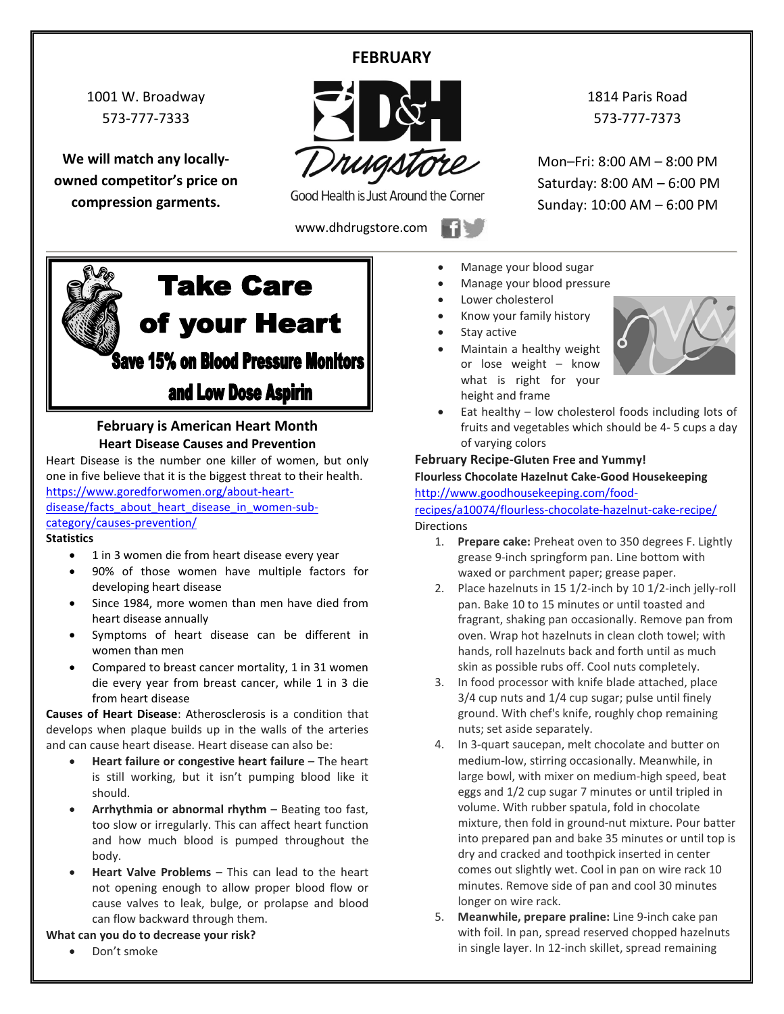# **FEBRUARY**

1001 W. Broadway 573-777-7333

**We will match any locallyowned competitor's price on compression garments.**



Good Health is Just Around the Corner

www.dhdrugstore.com

1814 Paris Road 573-777-7373

Mon–Fri: 8:00 AM – 8:00 PM Saturday: 8:00 AM – 6:00 PM Sunday: 10:00 AM – 6:00 PM



## **February is American Heart Month Heart Disease Causes and Prevention**

Heart Disease is the number one killer of women, but only one in five believe that it is the biggest threat to their health. [https://www.goredforwomen.org/about-heart-](https://www.goredforwomen.org/about-heart-disease/facts_about_heart_disease_in_women-sub-category/causes-prevention/)

[disease/facts\\_about\\_heart\\_disease\\_in\\_women-sub](https://www.goredforwomen.org/about-heart-disease/facts_about_heart_disease_in_women-sub-category/causes-prevention/)[category/causes-prevention/](https://www.goredforwomen.org/about-heart-disease/facts_about_heart_disease_in_women-sub-category/causes-prevention/)

#### **Statistics**

- 1 in 3 women die from heart disease every year
- 90% of those women have multiple factors for developing heart disease
- Since 1984, more women than men have died from heart disease annually
- Symptoms of heart disease can be different in women than men
- Compared to breast cancer mortality, 1 in 31 women die every year from breast cancer, while 1 in 3 die from heart disease

**Causes of Heart Disease**: Atherosclerosis is a condition that develops when plaque builds up in the walls of the arteries and can cause heart disease. Heart disease can also be:

- **Heart failure or congestive heart failure** The heart is still working, but it isn't pumping blood like it should.
- **Arrhythmia or abnormal rhythm** Beating too fast, too slow or irregularly. This can affect heart function and how much blood is pumped throughout the body.
- **Heart Valve Problems** This can lead to the heart not opening enough to allow proper blood flow or cause valves to leak, bulge, or prolapse and blood can flow backward through them.

### **What can you do to decrease your risk?**

• Don't smoke

- Manage your blood sugar
- Manage your blood pressure
- Lower cholesterol
- Know your family history
- Stay active
- Maintain a healthy weight or lose weight – know what is right for your height and frame



• Eat healthy – low cholesterol foods including lots of fruits and vegetables which should be 4- 5 cups a day of varying colors

## **February Recipe-Gluten Free and Yummy!**

#### **Flourless Chocolate Hazelnut Cake-Good Housekeeping** [http://www.goodhousekeeping.com/food-](http://www.goodhousekeeping.com/food-recipes/a10074/flourless-chocolate-hazelnut-cake-recipe/)

[recipes/a10074/flourless-chocolate-hazelnut-cake-recipe/](http://www.goodhousekeeping.com/food-recipes/a10074/flourless-chocolate-hazelnut-cake-recipe/) **Directions** 

- 1. **Prepare cake:** Preheat oven to 350 degrees F. Lightly grease 9-inch springform pan. Line bottom with waxed or parchment paper; grease paper.
- 2. Place hazelnuts in 15 1/2-inch by 10 1/2-inch jelly-roll pan. Bake 10 to 15 minutes or until toasted and fragrant, shaking pan occasionally. Remove pan from oven. Wrap hot hazelnuts in clean cloth towel; with hands, roll hazelnuts back and forth until as much skin as possible rubs off. Cool nuts completely.
- 3. In food processor with knife blade attached, place 3/4 cup nuts and 1/4 cup sugar; pulse until finely ground. With chef's knife, roughly chop remaining nuts; set aside separately.
- 4. In 3-quart saucepan, melt chocolate and butter on medium-low, stirring occasionally. Meanwhile, in large bowl, with mixer on medium-high speed, beat eggs and 1/2 cup sugar 7 minutes or until tripled in volume. With rubber spatula, fold in chocolate mixture, then fold in ground-nut mixture. Pour batter into prepared pan and bake 35 minutes or until top is dry and cracked and toothpick inserted in center comes out slightly wet. Cool in pan on wire rack 10 minutes. Remove side of pan and cool 30 minutes longer on wire rack.
- 5. **Meanwhile, prepare praline:** Line 9-inch cake pan with foil. In pan, spread reserved chopped hazelnuts in single layer. In 12-inch skillet, spread remaining